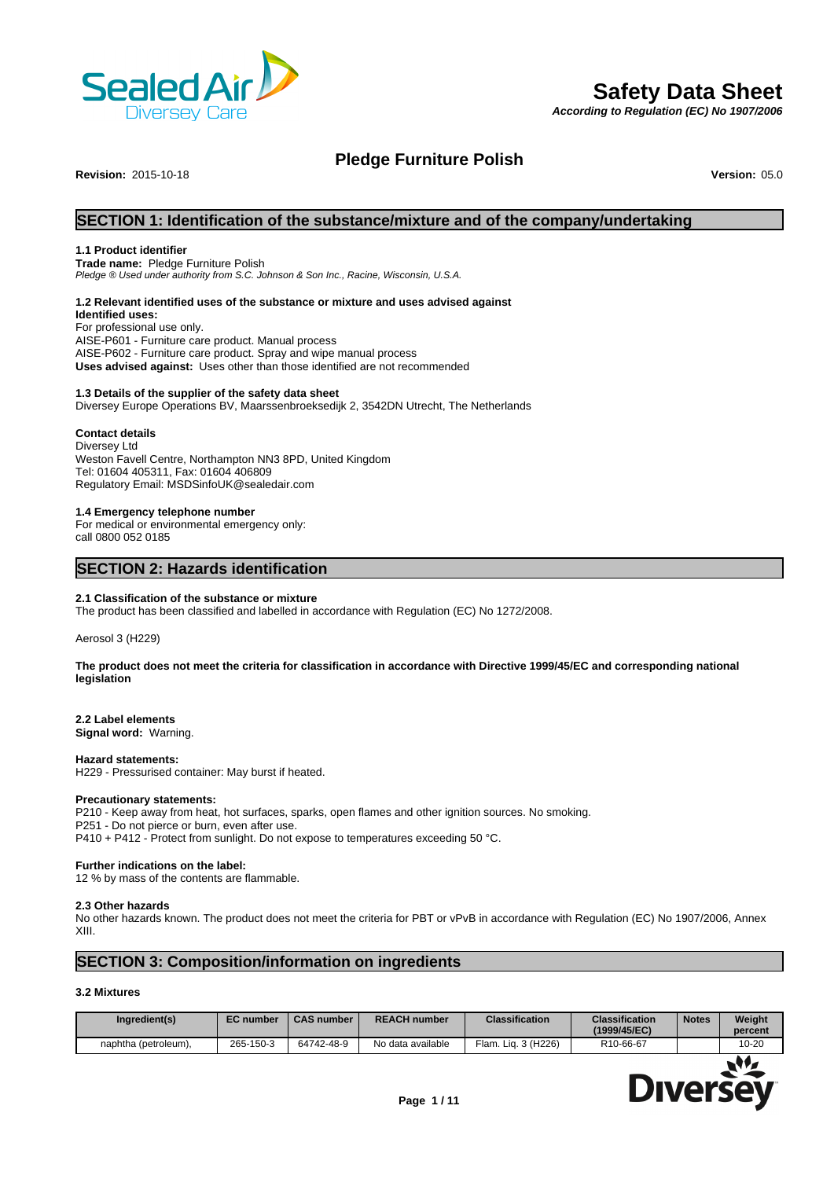

# **Safety Data Sheet**

*According to Regulation (EC) No 1907/2006*

# **Pledge Furniture Polish**

**Revision: 2015-10-18** 

# **SECTION 1: Identification of the substance/mixture and of the company/undertaking**

# **1.1 Product identifier**

**Trade name:** Pledge Furniture Polish *Pledge ® Used under authority from S.C. Johnson & SonInc., Racine, Wisconsin, U.S.A.*

## **1.2 Relevant identified uses of the substance or mixture and uses advised against**

**Identified uses:** For professional use only. AISE-P601 - Furniture care product. Manual process AISE-P602 - Furniture care product. Spray and wipe manual process **Uses advised against:** Uses other than those identified are not recommended

# **1.3 Details of the supplier of the safety data sheet**

Diversey Europe Operations BV, Maarssenbroeksedijk 2, 3542DN Utrecht, The Netherlands

# **Contact details**

Diversey Ltd Weston Favell Centre, Northampton NN3 8PD, United Kingdom Tel: 01604 405311, Fax: 01604 406809 Regulatory Email: MSDSinfoUK@sealedair.com

# **1.4 Emergency telephone number**

For medical or environmental emergency only: call 0800 052 0185

# **SECTION 2: Hazards identification**

# **2.1 Classification of the substance or mixture**

The product has been classified and labelled in accordance with Regulation (EC) No 1272/2008.

Aerosol 3 (H229)

**The product does not meet the criteria for classification in accordance with Directive 1999/45/EC and corresponding national legislation**

#### **2.2 Label elements**

**Signal word:** Warning.

#### **Hazard statements:**

H229 - Pressurised container: May burst if heated.

#### **Precautionary statements:**

P210 - Keep away from heat, hot surfaces, sparks, open flames and other ignition sources. No smoking. P251 - Do not pierce or burn, even after use. P410 + P412 - Protect from sunlight. Do not expose to temperatures exceeding 50 °C.

## **Further indications on the label:**

12 % by mass of the contents are flammable.

#### **2.3 Other hazards**

No other hazards known. The product does not meet the criteria for PBT or vPvB in accordance with Regulation (EC) No 1907/2006, Annex XIII.

# **SECTION 3: Composition/information on ingredients**

# **3.2 Mixtures**

| 10-20<br>Flam. Lig. 3 (H226)<br>265-150-3<br>R10-66-67<br>64742-48-9<br>No data available<br>naphtha (petroleum), | Ingredient(s) | <b>EC</b> number | <b>CAS number</b> | <b>REACH number</b> | <b>Classification</b> | <b>Classification</b><br>(1999/45/EC) | <b>Notes</b> | Weight<br>percent |
|-------------------------------------------------------------------------------------------------------------------|---------------|------------------|-------------------|---------------------|-----------------------|---------------------------------------|--------------|-------------------|
|                                                                                                                   |               |                  |                   |                     |                       |                                       |              |                   |

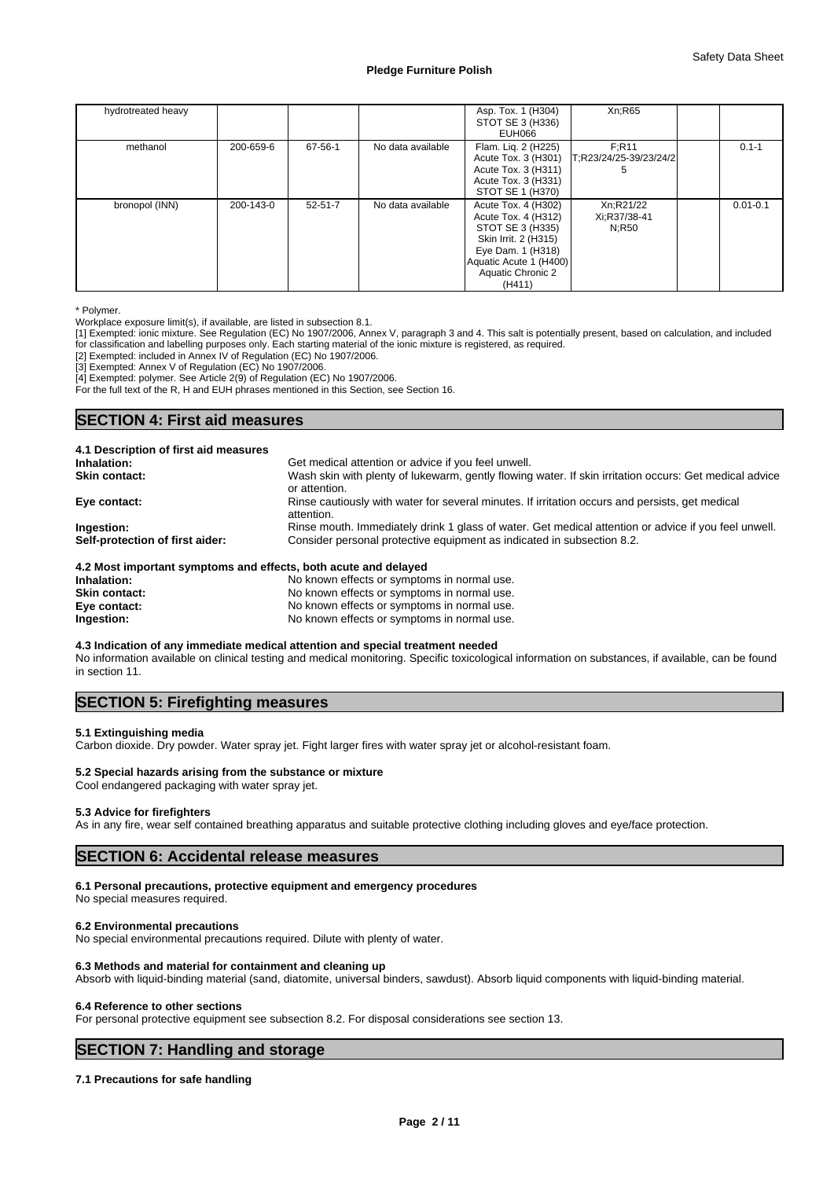| hydrotreated heavy |           |               |                   | Asp. Tox. 1 (H304)<br>STOT SE 3 (H336)<br>EUH066                                                                                                                     | Xn:R65                                                      |              |
|--------------------|-----------|---------------|-------------------|----------------------------------------------------------------------------------------------------------------------------------------------------------------------|-------------------------------------------------------------|--------------|
| methanol           | 200-659-6 | 67-56-1       | No data available | Flam. Lig. 2 (H225)<br>Acute Tox. 3 (H311)<br>Acute Tox. 3 (H331)<br>STOT SE 1 (H370)                                                                                | F:R11<br>Acute Tox. 3 (H301)   T; R23/24/25-39/23/24/2<br>5 | $0.1 - 1$    |
| bronopol (INN)     | 200-143-0 | $52 - 51 - 7$ | No data available | Acute Tox. 4 (H302)<br>Acute Tox. 4 (H312)<br>STOT SE 3 (H335)<br>Skin Irrit. 2 (H315)<br>Eye Dam. 1 (H318)<br>Aquatic Acute 1 (H400)<br>Aquatic Chronic 2<br>(H411) | Xn:R21/22<br>Xi:R37/38-41<br>N:R50                          | $0.01 - 0.1$ |

\* Polymer.

Workplace exposure limit(s), if available, are listed in subsection 8.1.

[1] Exempted: ionic mixture. See Regulation (EC) No 1907/2006, Annex V, paragraph 3 and 4. This salt is potentially present, based on calculation, and included for classification and labelling purposes only. Each starting material of the ionic mixture is registered, as required.

[2] Exempted: included in Annex IV of Regulation (EC) No 1907/2006.

[3] Exempted: Annex V of Regulation (EC) No 1907/2006.

[4] Exempted: polymer. See Article 2(9) of Regulation (EC) No 1907/2006.

For the full text of the R, H and EUH phrases mentioned in this Section, see Section 16.

# **SECTION 4: First aid measures**

| 4.1 Description of first aid measures                                                                           |                                                                                                                         |
|-----------------------------------------------------------------------------------------------------------------|-------------------------------------------------------------------------------------------------------------------------|
| Inhalation:                                                                                                     | Get medical attention or advice if you feel unwell.                                                                     |
| <b>Skin contact:</b>                                                                                            | Wash skin with plenty of lukewarm, gently flowing water. If skin irritation occurs: Get medical advice<br>or attention. |
| Eye contact:                                                                                                    | Rinse cautiously with water for several minutes. If irritation occurs and persists, get medical<br>attention.           |
| Ingestion:                                                                                                      | Rinse mouth. Immediately drink 1 glass of water. Get medical attention or advice if you feel unwell.                    |
| Self-protection of first aider:                                                                                 | Consider personal protective equipment as indicated in subsection 8.2.                                                  |
| 4.2 Most important symptoms and effects, both acute and delayed                                                 |                                                                                                                         |
| that the set of the contract of the contract of the contract of the contract of the contract of the contract of | . Ma los secos affa sta ao secondarso da manuscal era s                                                                 |

| Inhalation:          | No known effects or symptoms in normal use. |
|----------------------|---------------------------------------------|
| <b>Skin contact:</b> | No known effects or symptoms in normal use. |
| Eye contact:         | No known effects or symptoms in normal use. |
| Ingestion:           | No known effects or symptoms in normal use. |

**4.3 Indication of any immediate medical attention and special treatment needed**

No information available on clinical testing and medical monitoring. Specific toxicological information on substances, if available, can be found in section 11.

# **SECTION 5: Firefighting measures**

# **5.1 Extinguishing media**

Carbon dioxide. Dry powder. Water spray jet. Fight larger fires with water spray jet or alcohol-resistant foam.

# **5.2 Special hazards arising from the substance or mixture**

Cool endangered packaging with water spray jet.

# **5.3 Advice for firefighters**

As in any fire, wear self contained breathing apparatus and suitable protective clothing including gloves and eye/face protection.

# **SECTION 6: Accidental release measures**

#### **6.1 Personal precautions, protective equipment and emergency procedures**

No special measures required.

# **6.2 Environmental precautions**

No special environmental precautions required. Dilute with plenty of water.

## **6.3 Methods and material for containment and cleaning up**

Absorb with liquid-binding material (sand, diatomite, universal binders, sawdust). Absorb liquid components with liquid-binding material.

#### **6.4 Reference to other sections**

For personal protective equipment see subsection 8.2. For disposal considerations see section 13.

# **SECTION 7: Handling and storage**

# **7.1 Precautions for safe handling**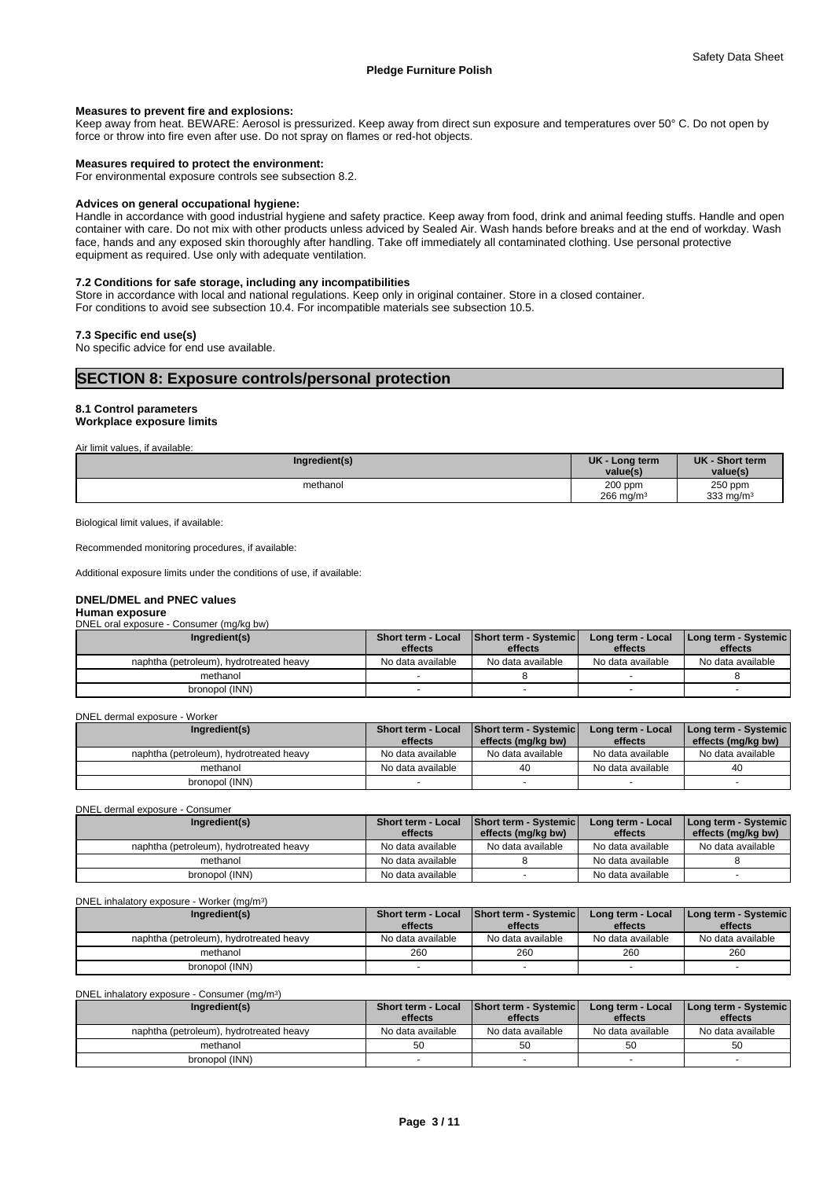# **Measures to prevent fire and explosions:**

Keep away from heat. BEWARE: Aerosol is pressurized. Keep away from direct sun exposure and temperatures over 50° C. Do not open by force or throw into fire even after use. Do not spray on flames or red-hot objects.

#### **Measures required to protect the environment:**

For environmental exposure controls see subsection 8.2.

#### **Advices on general occupational hygiene:**

Handle in accordance with good industrial hygiene and safety practice. Keep away from food, drink and animal feeding stuffs. Handle and open container with care. Do not mix with other products unless adviced by Sealed Air. Wash hands before breaks and at the end of workday. Wash face, hands and any exposed skin thoroughly after handling. Take off immediately all contaminated clothing. Use personal protective equipment as required. Use only with adequate ventilation.

# **7.2 Conditions for safe storage, including any incompatibilities**

Store in accordance with local and national regulations. Keep only in original container. Store in a closed container. For conditions to avoid see subsection 10.4. For incompatible materials see subsection 10.5.

# **7.3 Specific end use(s)**

No specific advice for end use available.

# **SECTION 8: Exposure controls/personal protection**

# **8.1 Control parameters Workplace exposure limits**

Air limit values, if available:

| Ingredient(s) | UK - Long term<br>value(s)         | UK - Short term<br>value(s) |  |
|---------------|------------------------------------|-----------------------------|--|
| methanol      | 200 ppm<br>$266$ mg/m <sup>3</sup> | 250 ppm<br>333 mg/m $3$     |  |
|               |                                    |                             |  |

Biological limit values, if available:

Recommended monitoring procedures, if available:

Additional exposure limits under the conditions of use, if available:

# **DNEL/DMEL and PNEC values**

# **Human exposure**

DNEL oral exposure - Consumer (mg/kg bw)

| Ingredient(s)                           | <b>Short term - Local</b><br>effects | Short term - Systemic<br>effects | Long term - Local<br>effects | Long term - Systemic  <br>effects |
|-----------------------------------------|--------------------------------------|----------------------------------|------------------------------|-----------------------------------|
| naphtha (petroleum), hydrotreated heavy | No data available                    | No data available                | No data available            | No data available                 |
| methanol                                |                                      |                                  |                              |                                   |
| bronopol (INN)                          |                                      |                                  |                              |                                   |

DNEL dermal exposure - Worker

| Ingredient(s)                           | <b>Short term - Local</b><br>effects | <b>Short term - Systemic</b><br>effects (mg/kg bw) | Long term - Local<br>effects | Long term - Systemic  <br>effects (mg/kg bw) |  |
|-----------------------------------------|--------------------------------------|----------------------------------------------------|------------------------------|----------------------------------------------|--|
| naphtha (petroleum), hydrotreated heavy | No data available                    | No data available                                  | No data available            | No data available                            |  |
| methanol                                | No data available                    | 40                                                 | No data available            | 40                                           |  |
| bronopol (INN)                          |                                      |                                                    |                              |                                              |  |

DNEL dermal exposure - Consumer

| Ingredient(s)                           | <b>Short term - Local</b> | Short term - Systemic | Long term - Local | Long term - Systemic |
|-----------------------------------------|---------------------------|-----------------------|-------------------|----------------------|
|                                         | effects                   | effects (mg/kg bw)    | effects           | effects (mg/kg bw)   |
| naphtha (petroleum), hydrotreated heavy | No data available         | No data available     | No data available | No data available    |
| methanol                                | No data available         |                       | No data available |                      |
| bronopol (INN)                          | No data available         |                       | No data available |                      |

DNEL inhalatory exposure - Worker (mg/m<sup>3</sup>  $)$ 

| Ingredient(s)                           | Short term - Local<br>effects | <b>Short term - Systemic</b><br>effects | Long term - Local<br>effects | Long term - Systemic  <br>effects |
|-----------------------------------------|-------------------------------|-----------------------------------------|------------------------------|-----------------------------------|
| naphtha (petroleum), hydrotreated heavy | No data available             | No data available                       | No data available            | No data available                 |
| methanol                                | 260                           | 260                                     | 260                          | 260                               |
| bronopol (INN)                          |                               |                                         |                              |                                   |

DNEL inhalatory exposure - Consumer (mg/m<sup>3</sup>  $)$ 

| Ingredient(s)                           | <b>Short term - Local</b><br>effects | Short term - Systemic<br>effects | Long term - Local<br>effects | Long term - Systemic  <br>effects |
|-----------------------------------------|--------------------------------------|----------------------------------|------------------------------|-----------------------------------|
| naphtha (petroleum), hydrotreated heavy | No data available                    | No data available                | No data available            | No data available                 |
| methanol                                | 50                                   | 50                               |                              | 50                                |
| bronopol (INN)                          |                                      |                                  |                              |                                   |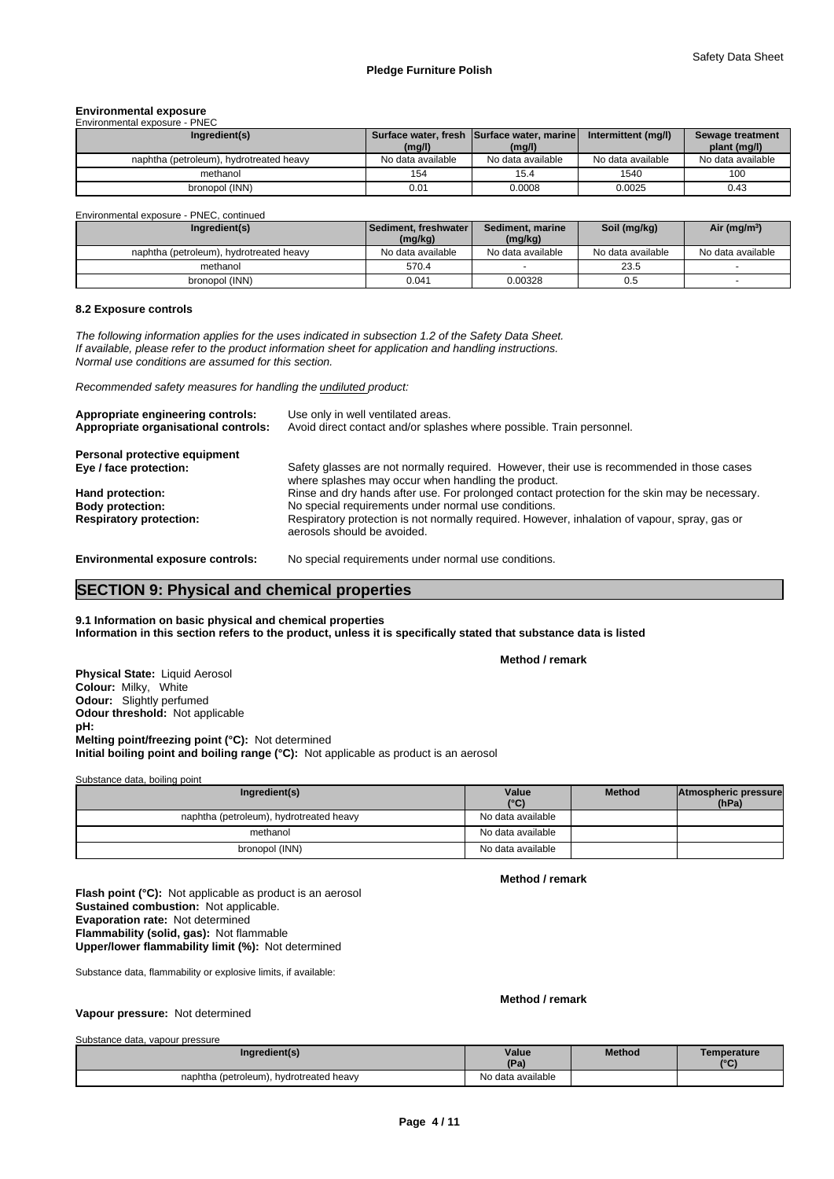# **Environmental exposure** Environmental exposure - PNEC

| Ingredient(s)                           | (mg/l)            | Surface water, fresh Surface water, marine<br>(mg/l) | Intermittent (mg/l) | Sewage treatment<br>plant (mg/l) |
|-----------------------------------------|-------------------|------------------------------------------------------|---------------------|----------------------------------|
| naphtha (petroleum), hydrotreated heavy | No data available | No data available                                    | No data available   | No data available                |
| methanol                                | 154               | 15.4                                                 | 1540                | 100                              |
| bronopol (INN)                          | 0.01              | 0.0008                                               | 0.0025              | 0.43                             |

Environmental exposure - PNEC, continued

| Ingredient(s)                           | l Sediment. freshwater l<br>(mg/kg) | Sediment, marine<br>(mg/kg) | Soil (mg/kg)      | Air (mg/m <sup>3</sup> ) |
|-----------------------------------------|-------------------------------------|-----------------------------|-------------------|--------------------------|
| naphtha (petroleum), hydrotreated heavy | No data available                   | No data available           | No data available | No data available        |
| methanol                                | 570.4                               |                             | 23.5              |                          |
| bronopol (INN)                          | 0.041                               | 0.00328                     | 0.5               |                          |

#### **8.2 Exposure controls**

*The following information applies for the uses indicated in subsection 1.2 of the Safety Data Sheet. If available, please refer to the product information sheet for application and handling instructions. Normal use conditions are assumed for this section.*

*Recommended safety measures for handling the undiluted product:*

| Appropriate engineering controls:<br>Appropriate organisational controls: | Use only in well ventilated areas.<br>Avoid direct contact and/or splashes where possible. Train personnel.                                       |
|---------------------------------------------------------------------------|---------------------------------------------------------------------------------------------------------------------------------------------------|
| Personal protective equipment                                             |                                                                                                                                                   |
| Eye / face protection:                                                    | Safety glasses are not normally required. However, their use is recommended in those cases<br>where splashes may occur when handling the product. |
| Hand protection:                                                          | Rinse and dry hands after use. For prolonged contact protection for the skin may be necessary.                                                    |
| <b>Body protection:</b>                                                   | No special requirements under normal use conditions.                                                                                              |
| <b>Respiratory protection:</b>                                            | Respiratory protection is not normally required. However, inhalation of vapour, spray, gas or<br>aerosols should be avoided.                      |
| <b>Environmental exposure controls:</b>                                   | No special requirements under normal use conditions.                                                                                              |

# **SECTION 9: Physical and chemical properties**

# **9.1 Information on basic physical and chemical properties Information in this section refers to the product, unless it is specifically stated that substance data is listed**

**Method / remark**

**Physical State:** Liquid Aerosol **Colour:** Milky, White **Odour:** Slightly perfumed **Odour threshold:** Not applicable **pH: Initial boiling point and boiling range (°C):** Not applicable as product is an aerosol **Melting point/freezing point (°C):** Not determined

Substance data, boiling point

| Ingredient(s)                           | Value<br>$(^{\circ}C)$ | <b>Method</b> | Atmospheric pressure<br>(hPa) |  |
|-----------------------------------------|------------------------|---------------|-------------------------------|--|
| naphtha (petroleum), hydrotreated heavy | No data available      |               |                               |  |
| methanol                                | No data available      |               |                               |  |
| bronopol (INN)                          | No data available      |               |                               |  |

**Method / remark**

**Upper/lower flammability limit (%):** Not determined **Flash point (°C):** Not applicable as product is an aerosol **Sustained combustion:** Not applicable. **Evaporation rate:** Not determined **Flammability (solid, gas):** Not flammable

Substance data, flammability or explosive limits, if available:

# **Method / remark**

# **Vapour pressure:** Not determined

Substance data, vapour pressure

| Ingredient(s)                           | Value<br>(Pa)     | <b>Method</b> | <b>Femperature</b><br>$10^{\circ}$ |
|-----------------------------------------|-------------------|---------------|------------------------------------|
| naphtha (petroleum), hydrotreated heavy | No data available |               |                                    |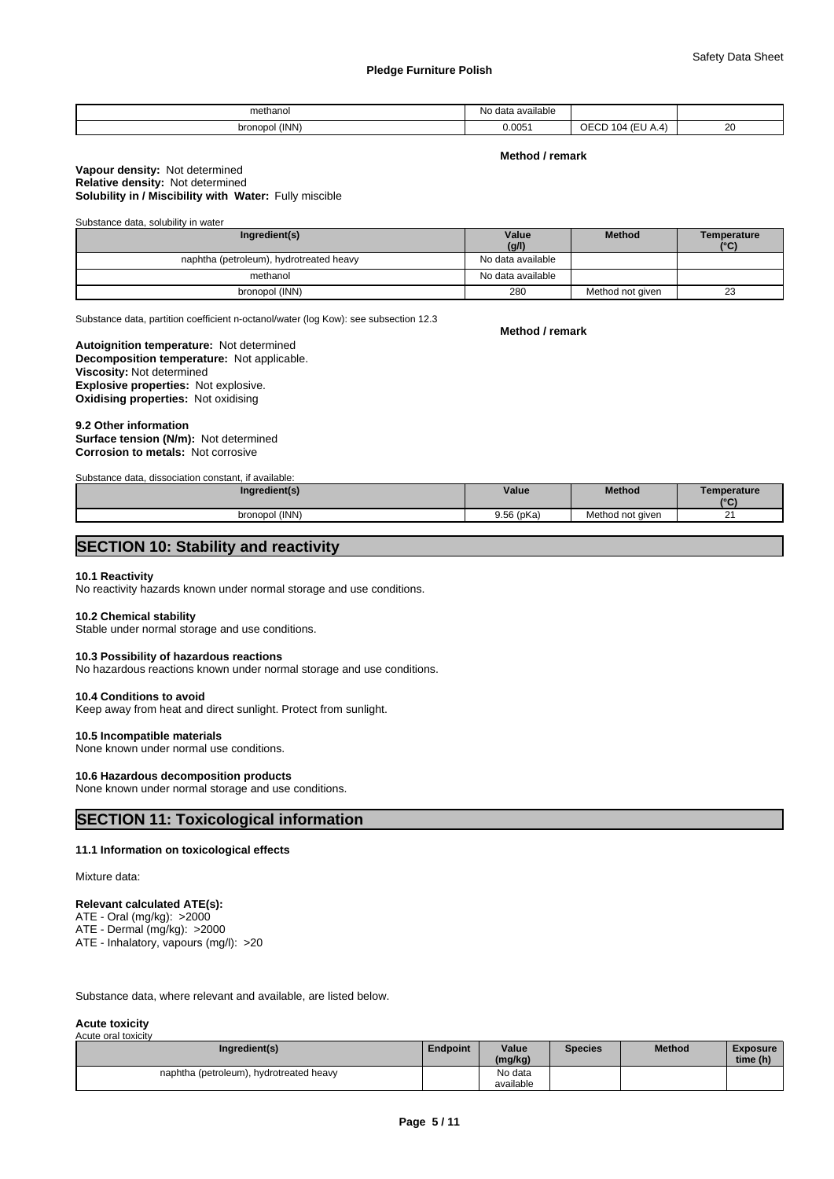| methanol<br>.     | . .<br>NIC<br>available<br>'≀ala<br>чv. |                      |          |
|-------------------|-----------------------------------------|----------------------|----------|
| (INN)<br>bronopol | 0.005                                   | $\sim$<br>- U L<br>. | oc<br>zu |

**Method / remark**

# **Solubility in / Miscibility with Water:** Fully miscible **Vapour density:** Not determined **Relative density:** Not determined

Substance data, solubility in water

| Ingredient(s)                           | Value<br>(g/l)    | <b>Method</b>    | <b>Temperature</b><br>(°C) |
|-----------------------------------------|-------------------|------------------|----------------------------|
| naphtha (petroleum), hydrotreated heavy | No data available |                  |                            |
| methanol                                | No data available |                  |                            |
| bronopol (INN)                          | 280               | Method not given | 23                         |

Substance data, partition coefficient n-octanol/water (log Kow): see subsection 12.3

# **Decomposition temperature:** Not applicable. **Autoignition temperature:** Not determined **Viscosity:** Not determined **Explosive properties:** Not explosive. **Oxidising properties:** Not oxidising

## **9.2 Other information Corrosion to metals:** Not corrosive **Surface tension (N/m):** Not determined

Substance data, dissociation constant, if available:

| Ingredient(s)  | Value      | <b>Method</b>    | Temperature<br>$10^{\circ}$ |
|----------------|------------|------------------|-----------------------------|
| bronopol (INN) | 9.56 (pKa) | Method not given | _                           |

# **SECTION 10: Stability and reactivity**

## **10.1 Reactivity**

No reactivity hazards known under normal storage and use conditions.

### **10.2 Chemical stability**

Stable under normal storage and use conditions.

#### **10.3 Possibility of hazardous reactions**

No hazardous reactions known under normal storage and use conditions.

## **10.4 Conditions to avoid**

Keep away from heat and direct sunlight. Protect from sunlight.

## **10.5 Incompatible materials**

None known under normal use conditions.

# **10.6 Hazardous decomposition products**

None known under normal storage and use conditions.

# **SECTION 11: Toxicological information**

# **11.1 Information on toxicological effects**

Mixture data:

# **Relevant calculated ATE(s):**

ATE - Oral (mg/kg): >2000

ATE - Dermal (mg/kg): >2000 ATE - Inhalatory, vapours (mg/l): >20

Substance data, where relevant and available, are listed below.

#### **Acute toxicity** Acute oral toxicity

|  | Ingredient(s)                           | Endpoint | Value<br>(mg/kg)     | <b>Species</b> | Method | <b>Exposure</b><br>time (h) |
|--|-----------------------------------------|----------|----------------------|----------------|--------|-----------------------------|
|  | naphtha (petroleum), hydrotreated heavy |          | No data<br>available |                |        |                             |

**Method / remark**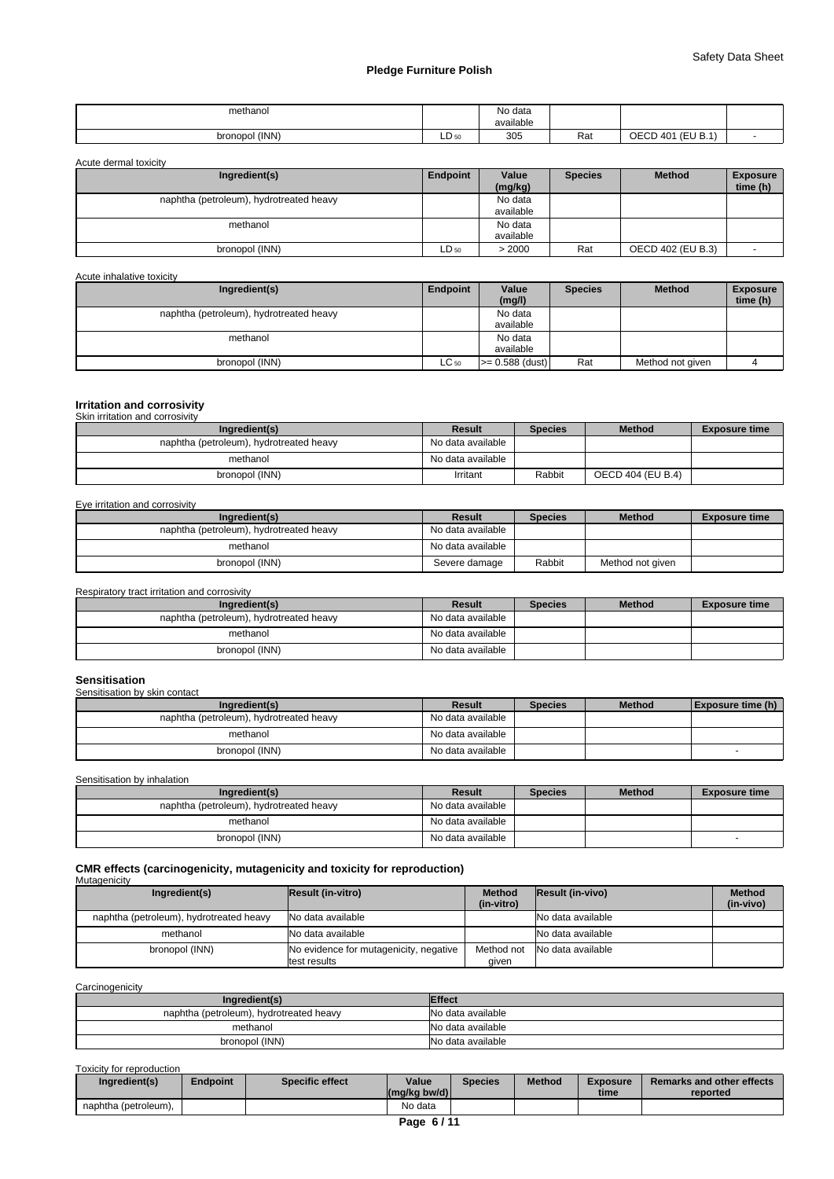| methanoi<br>.     |                     | No data<br>available |     |                             |  |
|-------------------|---------------------|----------------------|-----|-----------------------------|--|
| (INN)<br>bronopol | $\sim$<br>$LD_{50}$ | 305                  | Rat | (EU B.1)<br>' OEC∟<br>401 ر |  |

Acute dermal toxicity

| Ingredient(s)                           | Endpoint  | Value<br>(mg/kg)     | <b>Species</b> | <b>Method</b>     | <b>Exposure</b><br>time (h) |
|-----------------------------------------|-----------|----------------------|----------------|-------------------|-----------------------------|
| naphtha (petroleum), hydrotreated heavy |           | No data<br>available |                |                   |                             |
| methanol                                |           | No data<br>available |                |                   |                             |
| bronopol (INN)                          | $LD_{50}$ | > 2000               | Rat            | OECD 402 (EU B.3) |                             |

Acute inhalative toxicity

| Ingredient(s)                           | Endpoint  | Value<br>(mg/l)      | <b>Species</b> | <b>Method</b>    | <b>Exposure</b><br>time (h) |
|-----------------------------------------|-----------|----------------------|----------------|------------------|-----------------------------|
| naphtha (petroleum), hydrotreated heavy |           | No data<br>available |                |                  |                             |
| methanol                                |           | No data<br>available |                |                  |                             |
| bronopol (INN)                          | $LC_{50}$ | $>= 0.588$ (dust)    | Rat            | Method not given |                             |

# **Irritation and corrosivity** Skin irritation and corrosivity

| Ingredient(s)                           | Result            | <b>Species</b> | <b>Method</b>     | <b>Exposure time</b> |
|-----------------------------------------|-------------------|----------------|-------------------|----------------------|
| naphtha (petroleum), hydrotreated heavy | No data available |                |                   |                      |
| methanol                                | No data available |                |                   |                      |
| bronopol (INN)                          | Irritant          | Rabbit         | OECD 404 (EU B.4) |                      |

# Eye irritation and corrosivity

| Ingredient(s)                           | Result            | <b>Species</b> | <b>Method</b>    | <b>Exposure time</b> |
|-----------------------------------------|-------------------|----------------|------------------|----------------------|
| naphtha (petroleum), hydrotreated heavy | No data available |                |                  |                      |
| methanol                                | No data available |                |                  |                      |
| bronopol (INN)                          | Severe damage     | Rabbit         | Method not given |                      |

#### Respiratory tract irritation and corrosivity

| Ingredient(s)                           | Result            | <b>Species</b> | <b>Method</b> | <b>Exposure time</b> |
|-----------------------------------------|-------------------|----------------|---------------|----------------------|
| naphtha (petroleum), hydrotreated heavy | No data available |                |               |                      |
| methanol                                | No data available |                |               |                      |
| bronopol (INN)                          | No data available |                |               |                      |

# **Sensitisation**

| Sensitisation by skin contact           |                   |                |               |                   |  |  |  |  |
|-----------------------------------------|-------------------|----------------|---------------|-------------------|--|--|--|--|
| Ingredient(s)                           | Result            | <b>Species</b> | <b>Method</b> | Exposure time (h) |  |  |  |  |
| naphtha (petroleum), hydrotreated heavy | No data available |                |               |                   |  |  |  |  |
| methanol                                | No data available |                |               |                   |  |  |  |  |
| bronopol (INN)                          | No data available |                |               |                   |  |  |  |  |

Sensitisation by inhalation

| Ingredient(s)                           | Result            | <b>Species</b> | <b>Method</b> | <b>Exposure time</b> |
|-----------------------------------------|-------------------|----------------|---------------|----------------------|
| naphtha (petroleum), hydrotreated heavy | No data available |                |               |                      |
| methanol                                | No data available |                |               |                      |
| bronopol (INN)                          | No data available |                |               |                      |

## **CMR effects (carcinogenicity, mutagenicity and toxicity for reproduction) Mutagenicity**

| Ingredient(s)                           | Result (in-vitro)                                              | <b>Method</b><br>(in-vitro) | Result (in-vivo)  | <b>Method</b><br>(in-vivo) |
|-----------------------------------------|----------------------------------------------------------------|-----------------------------|-------------------|----------------------------|
| naphtha (petroleum), hydrotreated heavy | No data available                                              |                             | No data available |                            |
| methanol                                | No data available                                              |                             | No data available |                            |
| bronopol (INN)                          | No evidence for mutagenicity, negative<br><b>Itest results</b> | Method not<br>qıven         | No data available |                            |

# **Carcinogenicity**

| Ingredient(s)                           | <b>Effect</b>     |
|-----------------------------------------|-------------------|
| naphtha (petroleum), hydrotreated heavy | No data available |
| methanol                                | No data available |
| bronopol (INN)                          | No data available |

# Toxicity for reproduction

| Ingredient(s)        | indpoint <sup>:</sup> | <b>Specific effect</b> | Value<br>$(mg/kg$ bw/d) | <b>Species</b> | <b>Method</b> | <b>Exposure</b><br>time | Remarks and other effects<br>reported |
|----------------------|-----------------------|------------------------|-------------------------|----------------|---------------|-------------------------|---------------------------------------|
| naphtha (petroleum), |                       |                        | No data                 |                |               |                         |                                       |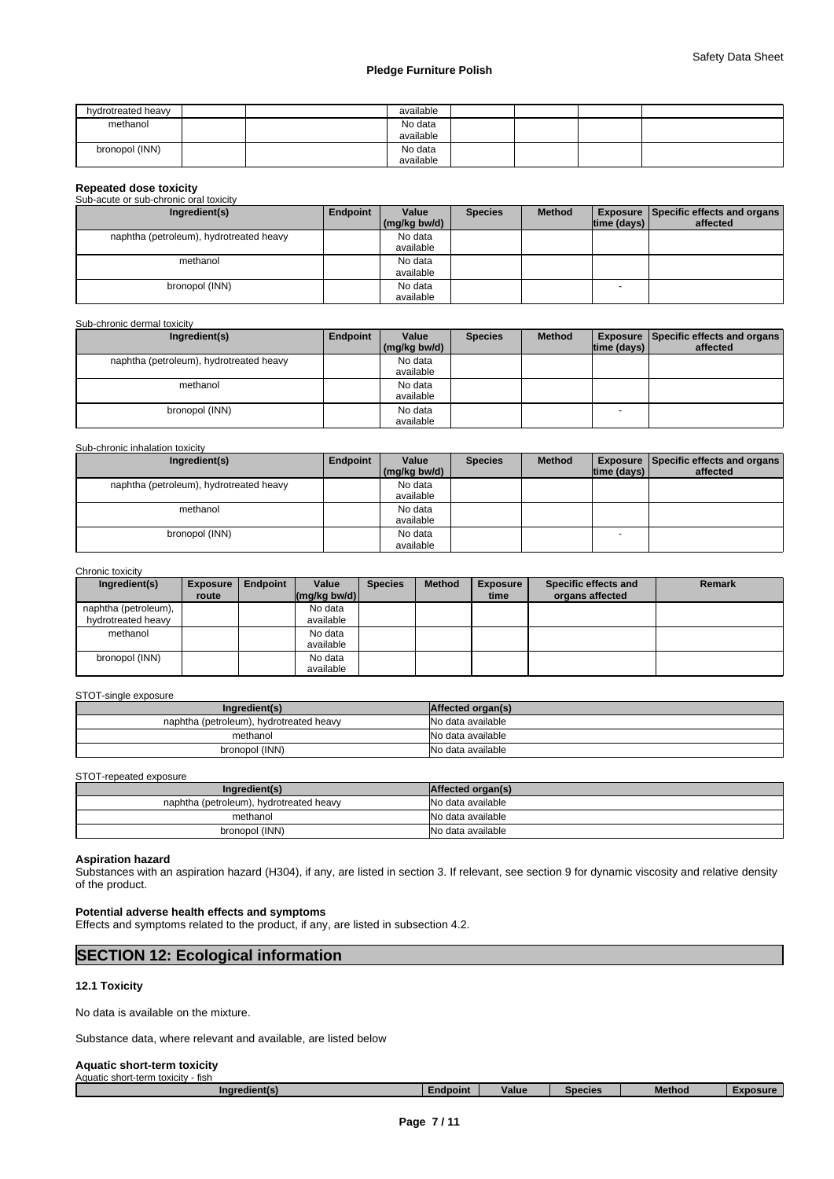| hydrotreated heavy | available            |  |  |
|--------------------|----------------------|--|--|
| methanol           | No data<br>available |  |  |
| bronopol (INN)     | No data<br>available |  |  |

| <b>Repeated dose toxicity</b>           |          |              |                |               |             |                                                 |  |
|-----------------------------------------|----------|--------------|----------------|---------------|-------------|-------------------------------------------------|--|
| Sub-acute or sub-chronic oral toxicity  |          |              |                |               |             |                                                 |  |
| Ingredient(s)                           | Endpoint | Value        | <b>Species</b> | <b>Method</b> |             | <b>Exposure   Specific effects and organs  </b> |  |
|                                         |          | (mg/kg bw/d) |                |               | time (days) | affected                                        |  |
| naphtha (petroleum), hydrotreated heavy |          | No data      |                |               |             |                                                 |  |
|                                         |          | available    |                |               |             |                                                 |  |
| methanol                                |          | No data      |                |               |             |                                                 |  |
|                                         |          | available    |                |               |             |                                                 |  |
| bronopol (INN)                          |          | No data      |                |               |             |                                                 |  |
|                                         |          | available    |                |               |             |                                                 |  |

| Sub-chronic dermal toxicity             |          |                       |                |               |                          |                                                             |
|-----------------------------------------|----------|-----------------------|----------------|---------------|--------------------------|-------------------------------------------------------------|
| Ingredient(s)                           | Endpoint | Value<br>(mg/kg bw/d) | <b>Species</b> | <b>Method</b> | $ time$ (days) $ $       | <b>Exposure   Specific effects and organs  </b><br>affected |
| naphtha (petroleum), hydrotreated heavy |          | No data<br>available  |                |               |                          |                                                             |
| methanol                                |          | No data<br>available  |                |               |                          |                                                             |
| bronopol (INN)                          |          | No data<br>available  |                |               | $\overline{\phantom{a}}$ |                                                             |

#### Sub-chronic inhalation toxicity

| Ingredient(s)                           | Endpoint | Value        | <b>Species</b> | <b>Method</b> |             | <b>Exposure   Specific effects and organs  </b> |
|-----------------------------------------|----------|--------------|----------------|---------------|-------------|-------------------------------------------------|
|                                         |          | (mg/kg bw/d) |                |               | time (days) | affected                                        |
| naphtha (petroleum), hydrotreated heavy |          | No data      |                |               |             |                                                 |
|                                         |          | available    |                |               |             |                                                 |
| methanol                                |          | No data      |                |               |             |                                                 |
|                                         |          | available    |                |               |             |                                                 |
| bronopol (INN)                          |          | No data      |                |               | -           |                                                 |
|                                         |          | available    |                |               |             |                                                 |

#### Chronic toxicity

| Ingredient(s)        | <b>Exposure</b><br>route | <b>Endpoint</b> | Value<br>$\frac{1}{2}$ (mg/kg bw/d) | <b>Species</b> | <b>Method</b> | <b>Exposure</b><br>time | Specific effects and<br>organs affected | <b>Remark</b> |
|----------------------|--------------------------|-----------------|-------------------------------------|----------------|---------------|-------------------------|-----------------------------------------|---------------|
| naphtha (petroleum), |                          |                 | No data                             |                |               |                         |                                         |               |
| hydrotreated heavy   |                          |                 | available                           |                |               |                         |                                         |               |
| methanol             |                          |                 | No data                             |                |               |                         |                                         |               |
|                      |                          |                 | available                           |                |               |                         |                                         |               |
| bronopol (INN)       |                          |                 | No data                             |                |               |                         |                                         |               |
|                      |                          |                 | available                           |                |               |                         |                                         |               |

# STOT-single exposure

| Ingredient(s)                           | Affected organ(s) |
|-----------------------------------------|-------------------|
| naphtha (petroleum), hydrotreated heavy | No data available |
| methanol                                | No data available |
| bronopol (INN)                          | No data available |

# STOT-repeated exposure

| Ingredient(s)                           | Affected organ(s) |
|-----------------------------------------|-------------------|
| naphtha (petroleum), hydrotreated heavy | No data available |
| methanol                                | No data available |
| bronopol (INN)                          | No data available |

#### **Aspiration hazard**

Substances with an aspiration hazard (H304), if any, are listed in section 3. If relevant, see section 9 for dynamic viscosity and relative density of the product.

# **Potential adverse health effects and symptoms**

Effects and symptoms related to the product, if any, are listed in subsection 4.2.

| <b>SECTION 12: Ecological information</b> |  |
|-------------------------------------------|--|
|                                           |  |

# **12.1 Toxicity**

No data is available on the mixture.

Substance data, where relevant and available, are listed below

# **Aquatic short-term toxicity** Aquatic short-term toxicity - fish

| . .<br><b>diocint</b><br>Value<br>Method<br><b>ACIIP</b><br>Inare<br>shecies<br>∠nor<br>,,,,,,,, | AQUATIC<br>: snort-term toxicity<br>- fisn |  |  |  |
|--------------------------------------------------------------------------------------------------|--------------------------------------------|--|--|--|
|                                                                                                  |                                            |  |  |  |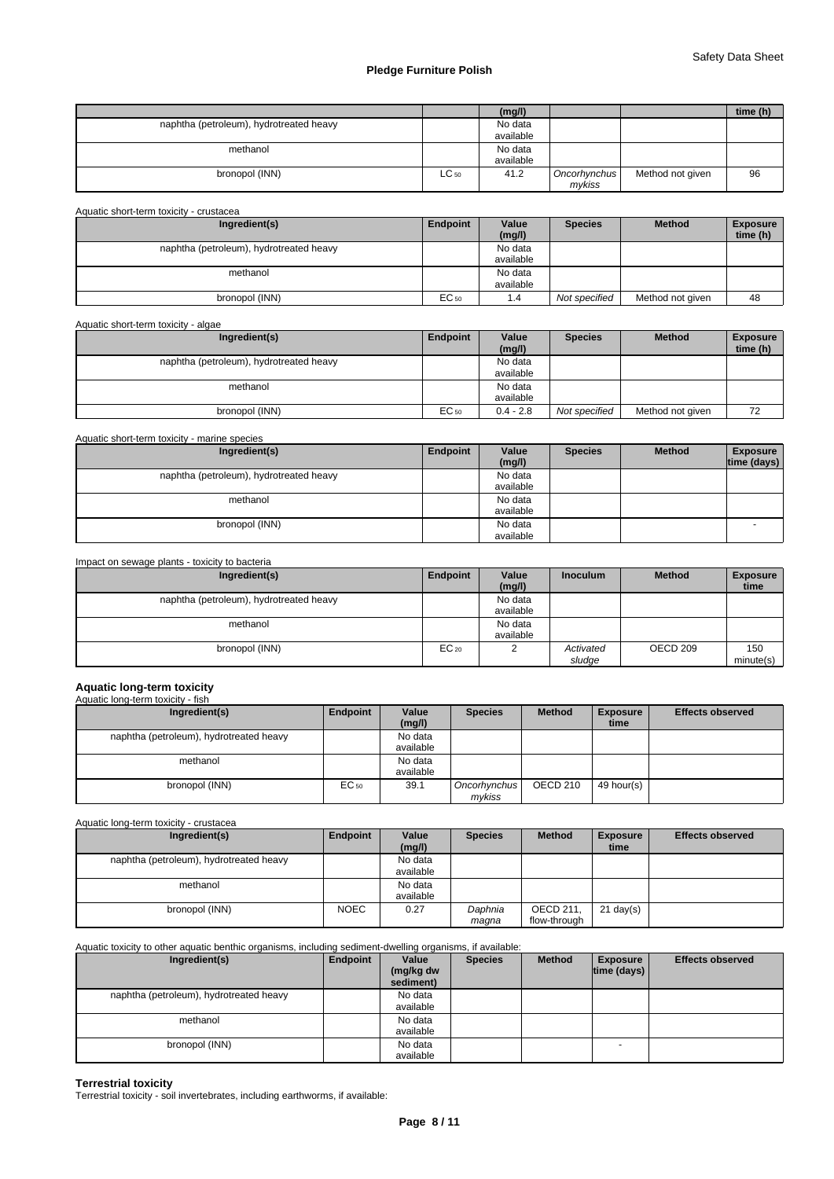|                                         |           | (mg/l)               |                        |                  | time (h) |
|-----------------------------------------|-----------|----------------------|------------------------|------------------|----------|
| naphtha (petroleum), hydrotreated heavy |           | No data<br>available |                        |                  |          |
| methanol                                |           | No data<br>available |                        |                  |          |
| bronopol (INN)                          | $LC_{50}$ | 41.2                 | Oncorhynchus<br>mvkiss | Method not given | 96       |

Aquatic short-term toxicity - crustacea

| Ingredient(s)                           | Endpoint | Value<br>(mg/l)      | <b>Species</b> | <b>Method</b>    | <b>Exposure</b><br>time (h) |  |
|-----------------------------------------|----------|----------------------|----------------|------------------|-----------------------------|--|
| naphtha (petroleum), hydrotreated heavy |          | No data<br>available |                |                  |                             |  |
| methanol                                |          | No data<br>available |                |                  |                             |  |
| bronopol (INN)                          | EC 50    | 1.4                  | Not specified  | Method not given | 48                          |  |

| Aquatic short-term toxicity - algae     |          |                      |                |                  |                             |
|-----------------------------------------|----------|----------------------|----------------|------------------|-----------------------------|
| Ingredient(s)                           | Endpoint | Value<br>(mg/l)      | <b>Species</b> | <b>Method</b>    | <b>Exposure</b><br>time (h) |
| naphtha (petroleum), hydrotreated heavy |          | No data<br>available |                |                  |                             |
| methanol                                |          | No data<br>available |                |                  |                             |
| bronopol (INN)                          | EC 50    | $0.4 - 2.8$          | Not specified  | Method not given | 72                          |

Aquatic short-term toxicity - marine species

| Ingredient(s)                           | Endpoint | Value<br>(mg/l) | <b>Species</b> | <b>Method</b> | <b>Exposure</b><br>time (days) |
|-----------------------------------------|----------|-----------------|----------------|---------------|--------------------------------|
| naphtha (petroleum), hydrotreated heavy |          | No data         |                |               |                                |
|                                         |          | available       |                |               |                                |
| methanol                                |          | No data         |                |               |                                |
|                                         |          | available       |                |               |                                |
| bronopol (INN)                          |          | No data         |                |               |                                |
|                                         |          | available       |                |               |                                |

| Impact on sewage plants - toxicity to bacteria |           |                      |                     |                     |                         |
|------------------------------------------------|-----------|----------------------|---------------------|---------------------|-------------------------|
| Ingredient(s)                                  | Endpoint  | Value<br>(mg/l)      | <b>Inoculum</b>     | <b>Method</b>       | <b>Exposure</b><br>time |
| naphtha (petroleum), hydrotreated heavy        |           | No data<br>available |                     |                     |                         |
| methanol                                       |           | No data<br>available |                     |                     |                         |
| bronopol (INN)                                 | $EC_{20}$ |                      | Activated<br>sludge | OECD <sub>209</sub> | 150<br>minute(s)        |

# **Aquatic long-term toxicity** Aquatic long-term toxicity - fish

| Ingredient(s)                           | Endpoint | Value<br>(mg/l)      | <b>Species</b>         | <b>Method</b>   | <b>Exposure</b><br>time | <b>Effects observed</b> |
|-----------------------------------------|----------|----------------------|------------------------|-----------------|-------------------------|-------------------------|
| naphtha (petroleum), hydrotreated heavy |          | No data<br>available |                        |                 |                         |                         |
| methanol                                |          | No data<br>available |                        |                 |                         |                         |
| bronopol (INN)                          | EC 50    | 39.1                 | Oncorhynchus<br>mykiss | <b>OECD 210</b> | 49 hour(s)              |                         |

Aquatic long-term toxicity - crustacea

| Ingredient(s)                           | Endpoint    | Value     | <b>Species</b> | <b>Method</b>    | <b>Exposure</b> | <b>Effects observed</b> |
|-----------------------------------------|-------------|-----------|----------------|------------------|-----------------|-------------------------|
|                                         |             | (mg/l)    |                |                  | time            |                         |
| naphtha (petroleum), hydrotreated heavy |             | No data   |                |                  |                 |                         |
|                                         |             | available |                |                  |                 |                         |
| methanol                                |             | No data   |                |                  |                 |                         |
|                                         |             | available |                |                  |                 |                         |
| bronopol (INN)                          | <b>NOEC</b> | 0.27      | Daphnia        | <b>OECD 211.</b> | $21$ day(s)     |                         |
|                                         |             |           | maqna          | flow-through     |                 |                         |

# Aquatic toxicity to other aquatic benthic organisms, including sediment-dwelling organisms, if available:

| Ingredient(s)                           | Endpoint | Value<br>(mg/kg dw<br>sediment) | <b>Species</b> | <b>Method</b> | <b>Exposure</b><br>$ time$ (days) $ $ | <b>Effects observed</b> |
|-----------------------------------------|----------|---------------------------------|----------------|---------------|---------------------------------------|-------------------------|
| naphtha (petroleum), hydrotreated heavy |          | No data<br>available            |                |               |                                       |                         |
| methanol                                |          | No data<br>available            |                |               |                                       |                         |
| bronopol (INN)                          |          | No data<br>available            |                |               | <b>.</b>                              |                         |

**Terrestrial toxicity** Terrestrial toxicity - soil invertebrates, including earthworms, if available: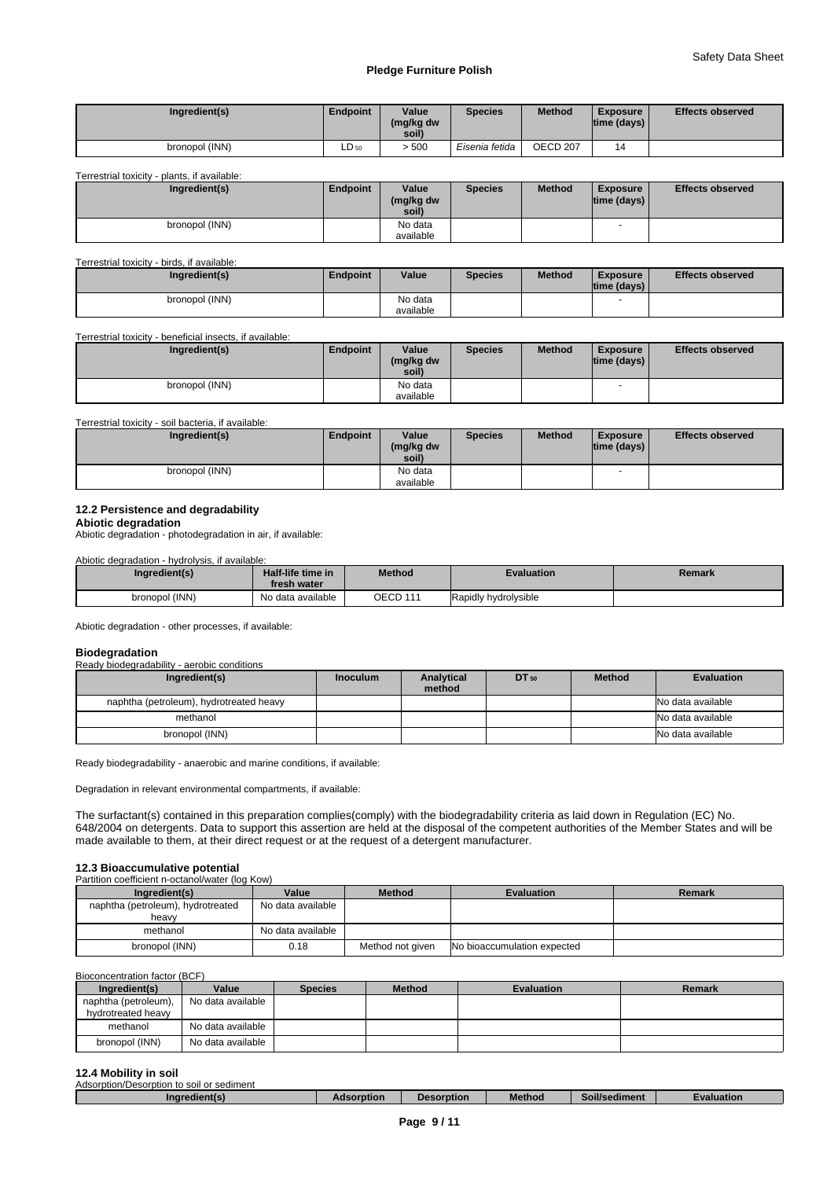| Ingredient(s)  | <b>Endpoint</b> | Value<br>(mg/kg dw<br>soil) | <b>Species</b> | <b>Method</b> | <b>Exposure</b><br>$ time$ (days) $ $ | <b>Effects observed</b> |
|----------------|-----------------|-----------------------------|----------------|---------------|---------------------------------------|-------------------------|
| bronopol (INN) | $LD_{50}$       | 500ء -                      | Eisenia fetida | OECD 207      | 14                                    |                         |

#### Terrestrial toxicity - plants, if available:

| Ingredient(s)  | <b>Endpoint</b> | Value<br>(mg/kg dw<br>soil) | <b>Species</b> | <b>Method</b> | <b>Exposure</b><br> time (days) | <b>Effects observed</b> |
|----------------|-----------------|-----------------------------|----------------|---------------|---------------------------------|-------------------------|
| bronopol (INN) |                 | No data                     |                |               |                                 |                         |
|                |                 | available                   |                |               |                                 |                         |

#### Terrestrial toxicity - birds, if available:

| Ingredient(s)  | Endpoint | Value                | <b>Species</b> | <b>Method</b> | <b>Exposure</b><br>$ time$ (days) $ $ | <b>Effects observed</b> |
|----------------|----------|----------------------|----------------|---------------|---------------------------------------|-------------------------|
| bronopol (INN) |          | No data<br>available |                |               |                                       |                         |

Terrestrial toxicity - beneficial insects, if available:

| Ingredient(s)  | <b>Endpoint</b> | Value<br>(mg/kg dw<br>soil) | <b>Species</b> | <b>Method</b> | <b>Exposure</b><br>$ time$ (days) $ $ | <b>Effects observed</b> |
|----------------|-----------------|-----------------------------|----------------|---------------|---------------------------------------|-------------------------|
| bronopol (INN) |                 | No data<br>available        |                |               | . .                                   |                         |

#### Terrestrial toxicity - soil bacteria, if available:

| Ingredient(s)  | Endpoint | Value<br>(mg/kg dw<br>soil) | <b>Species</b> | <b>Method</b> | <b>Exposure</b><br>$ time$ (days) $ $ | <b>Effects observed</b> |
|----------------|----------|-----------------------------|----------------|---------------|---------------------------------------|-------------------------|
| bronopol (INN) |          | No data                     |                |               | . .                                   |                         |
|                |          | available                   |                |               |                                       |                         |

#### **12.2 Persistence and degradability**

**Abiotic degradation**

Abiotic degradation - photodegradation in air, if available:

Abiotic degradation - hydrolysis, if available:

| Ingredient(s)  | Half-life time in<br>fresh water | Method   | <b>Evaluation</b>    | Remark |
|----------------|----------------------------------|----------|----------------------|--------|
| bronopol (INN) | No data available                | OECD 111 | Rapidly hydrolysible |        |

Abiotic degradation - other processes, if available:

| <b>Biodegradation</b>                       |                 |                      |       |               |                   |
|---------------------------------------------|-----------------|----------------------|-------|---------------|-------------------|
| Ready biodegradability - aerobic conditions |                 |                      |       |               |                   |
| Ingredient(s)                               | <b>Inoculum</b> | Analytical<br>method | DT 50 | <b>Method</b> | <b>Evaluation</b> |
| naphtha (petroleum), hydrotreated heavy     |                 |                      |       |               | No data available |
| methanol                                    |                 |                      |       |               | No data available |
| bronopol (INN)                              |                 |                      |       |               | No data available |

Ready biodegradability - anaerobic and marine conditions, if available:

Degradation in relevant environmental compartments, if available:

The surfactant(s) contained in this preparation complies(comply) with the biodegradability criteria as laid down in Regulation (EC) No. 648/2004 on detergents. Data to support this assertion are held at the disposal of the competent authorities of the Member States and will be made available to them, at their direct request or at the request of a detergent manufacturer.

# **12.3 Bioaccumulative potential**

| Partition coefficient n-octanol/water (log Kow) |                   |                  |                             |               |  |  |  |  |  |  |
|-------------------------------------------------|-------------------|------------------|-----------------------------|---------------|--|--|--|--|--|--|
| Ingredient(s)                                   | Value             | <b>Method</b>    | <b>Evaluation</b>           | <b>Remark</b> |  |  |  |  |  |  |
| naphtha (petroleum), hydrotreated<br>heavy      | No data available |                  |                             |               |  |  |  |  |  |  |
| methanol                                        | No data available |                  |                             |               |  |  |  |  |  |  |
| bronopol (INN)                                  | 0.18              | Method not given | No bioaccumulation expected |               |  |  |  |  |  |  |

# Bioconcentration factor (BCF)

| Ingredient(s)        | Value             | <b>Species</b> | <b>Method</b> | <b>Evaluation</b> | Remark |
|----------------------|-------------------|----------------|---------------|-------------------|--------|
| naphtha (petroleum), | No data available |                |               |                   |        |
| hydrotreated heavy   |                   |                |               |                   |        |
| methanol             | No data available |                |               |                   |        |
| bronopol (INN)       | No data available |                |               |                   |        |

# **12.4 Mobility in soil**

| Adsorption/Desorption to soil or sediment |            |            |               |                           |            |
|-------------------------------------------|------------|------------|---------------|---------------------------|------------|
| Ingredient(s)                             | Adsorption | Desorption | <b>Method</b> | $\cdots$<br>Soil/sediment | Evaluation |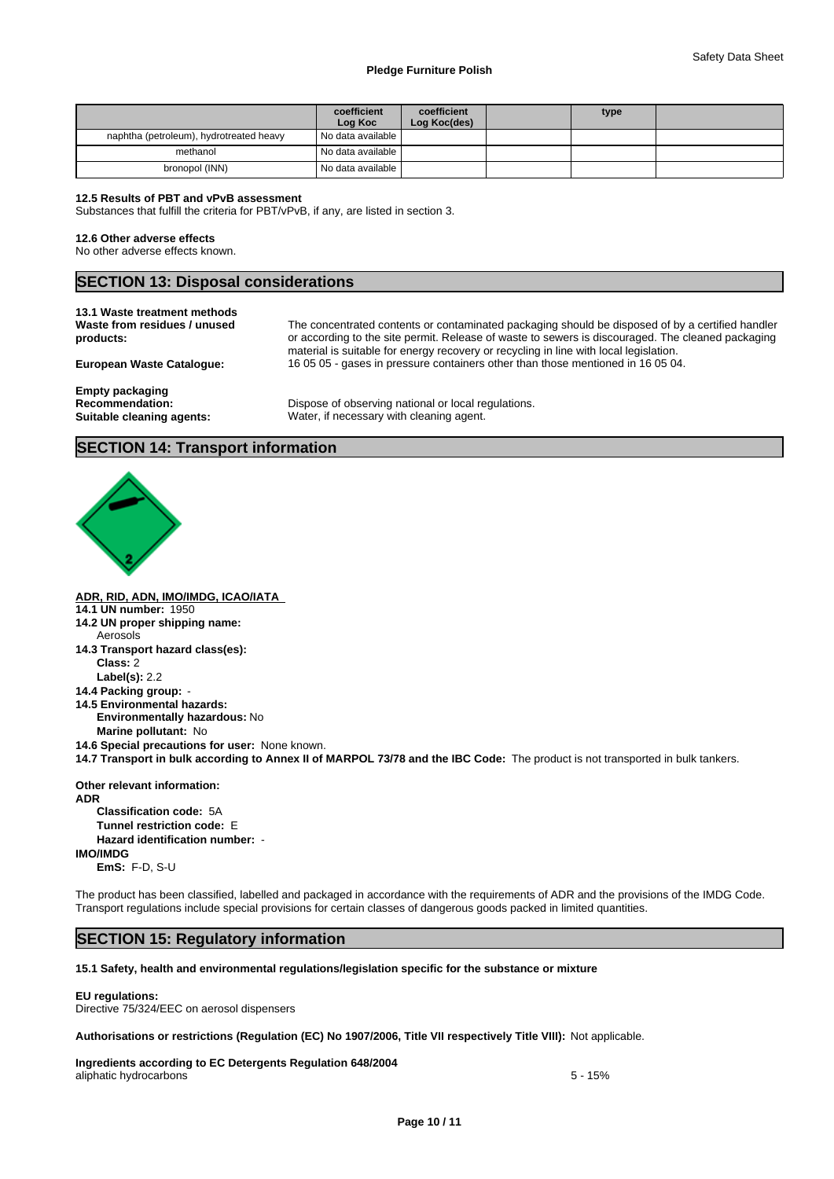|                                         | coefficient<br>Log Koc | coefficient<br>Log Koc(des) | type |  |
|-----------------------------------------|------------------------|-----------------------------|------|--|
| naphtha (petroleum), hydrotreated heavy | I No data available I  |                             |      |  |
| methanol                                | I No data available    |                             |      |  |
| bronopol (INN)                          | No data available      |                             |      |  |

## **12.5 Results of PBT and vPvB assessment**

Substances that fulfill the criteria for PBT/vPvB, if any, are listed in section 3.

## **12.6 Other adverse effects**

No other adverse effects known.

# **SECTION 13: Disposal considerations**

|  | 13.1 Waste treatment methods |  |  |
|--|------------------------------|--|--|
|  |                              |  |  |

**Waste from residues / unused products:**

The concentrated contents or contaminated packaging should be disposed of by a certified handler or according to the site permit. Release of waste to sewers is discouraged. The cleaned packaging material is suitable for energy recovery or recycling in line with local legislation. **European Waste Catalogue:** 16 05 05 - gases in pressure containers other than those mentioned in 16 05 04.

**Empty packaging**

**Recommendation:** Dispose of observing national or local regulations. **Suitable cleaning agents:** Water, if necessary with cleaning agent.

# **SECTION 14: Transport information**



**ADR, RID, ADN, IMO/IMDG, ICAO/IATA** 

- **14.1 UN number:** 1950
- **14.2 UN proper shipping name:** Aerosols
- **14.3 Transport hazard class(es): Class:** 2
	- **Label(s):** 2.2
- **14.4 Packing group:** -
- **14.5 Environmental hazards: Environmentally hazardous:** No **Marine pollutant:** No
- **14.6 Special precautions for user:** None known.
- **14.7 Transport in bulk according to Annex II of MARPOL 73/78 and the IBC Code:** The product is not transported in bulk tankers.

**Other relevant information: ADR Classification code:** 5A **Tunnel restriction code:** E **Hazard identification number:** - **IMO/IMDG EmS:** F-D, S-U

The product has been classified, labelled and packaged in accordance with the requirements of ADR and the provisions of the IMDG Code. Transport regulations include special provisions for certain classes of dangerous goods packed in limited quantities.

# **SECTION 15: Regulatory information**

**15.1 Safety, health and environmental regulations/legislation specific for the substance or mixture**

#### **EU regulations:**

Directive 75/324/EEC on aerosol dispensers

**Authorisations or restrictions (Regulation (EC) No 1907/2006, Title VII respectively Title VIII):** Not applicable.

**Ingredients according to EC Detergents Regulation 648/2004** aliphatic hydrocarbons 5 - 15%